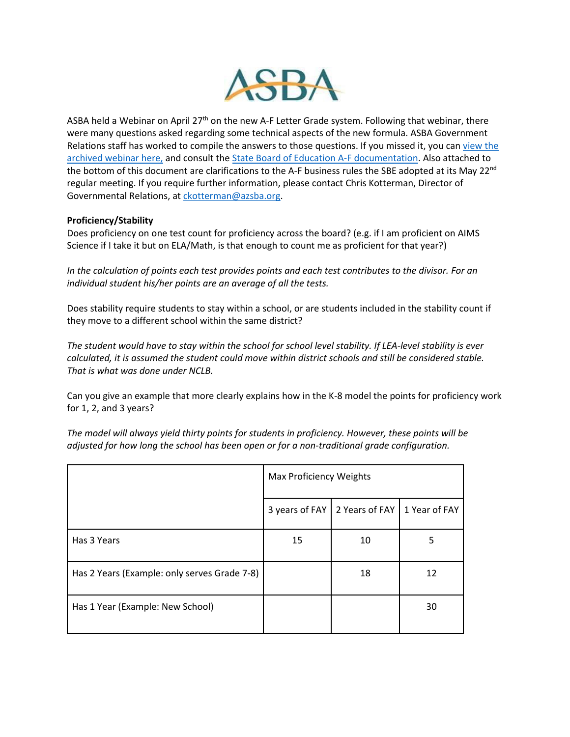

ASBA held a Webinar on April 27<sup>th</sup> on the new A-F Letter Grade system. Following that webinar, there were many questions asked regarding some technical aspects of the new formula. ASBA Government Relations staff has worked to compile the answers to those questions. If you missed it, you can view the [archived webinar here,](http://azsba.org/events/what-next-for-a-f-formula/) and consult the [State Board of Education A-F documentation.](https://azsbe.az.gov/f-school-letter-grades) Also attached to the bottom of this document are clarifications to the A-F business rules the SBE adopted at its May 22<sup>nd</sup> regular meeting. If you require further information, please contact Chris Kotterman, Director of Governmental Relations, at [ckotterman@azsba.org.](mailto:ckotterman@azsba.org)

#### **Proficiency/Stability**

Does proficiency on one test count for proficiency across the board? (e.g. if I am proficient on AIMS Science if I take it but on ELA/Math, is that enough to count me as proficient for that year?)

*In the calculation of points each test provides points and each test contributes to the divisor. For an individual student his/her points are an average of all the tests.*

Does stability require students to stay within a school, or are students included in the stability count if they move to a different school within the same district?

*The student would have to stay within the school for school level stability. If LEA-level stability is ever calculated, it is assumed the student could move within district schools and still be considered stable. That is what was done under NCLB.*

Can you give an example that more clearly explains how in the K-8 model the points for proficiency work for 1, 2, and 3 years?

*The model will always yield thirty points for students in proficiency. However, these points will be adjusted for how long the school has been open or for a non-traditional grade configuration.*

|                                              | Max Proficiency Weights |                |               |
|----------------------------------------------|-------------------------|----------------|---------------|
|                                              | 3 years of FAY          | 2 Years of FAY | 1 Year of FAY |
| Has 3 Years                                  | 15                      | 10             | 5             |
| Has 2 Years (Example: only serves Grade 7-8) |                         | 18             | 12            |
| Has 1 Year (Example: New School)             |                         |                | 30            |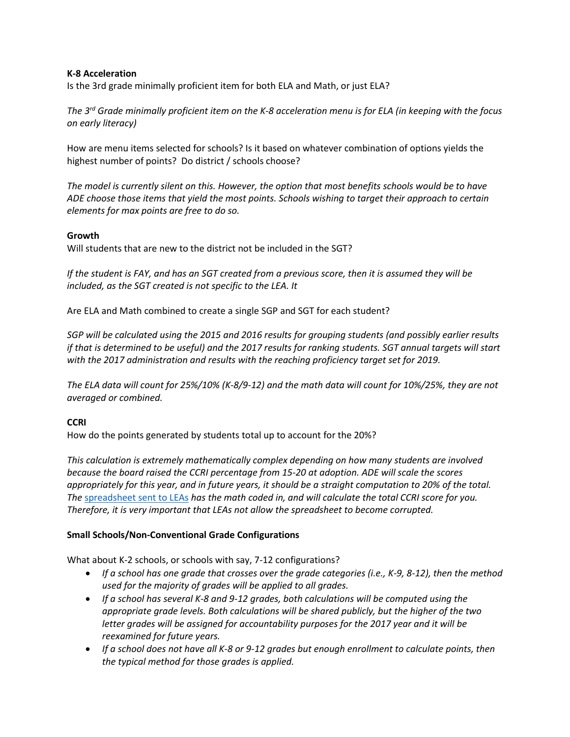#### **K-8 Acceleration**

Is the 3rd grade minimally proficient item for both ELA and Math, or just ELA?

*The 3rd Grade minimally proficient item on the K-8 acceleration menu is for ELA (in keeping with the focus on early literacy)*

How are menu items selected for schools? Is it based on whatever combination of options yields the highest number of points? Do district / schools choose?

*The model is currently silent on this. However, the option that most benefits schools would be to have ADE choose those items that yield the most points. Schools wishing to target their approach to certain elements for max points are free to do so.*

#### **Growth**

Will students that are new to the district not be included in the SGT?

*If the student is FAY, and has an SGT created from a previous score, then it is assumed they will be included, as the SGT created is not specific to the LEA. It*

Are ELA and Math combined to create a single SGP and SGT for each student?

*SGP will be calculated using the 2015 and 2016 results for grouping students (and possibly earlier results if that is determined to be useful) and the 2017 results for ranking students. SGT annual targets will start with the 2017 administration and results with the reaching proficiency target set for 2019.*

*The ELA data will count for 25%/10% (K-8/9-12) and the math data will count for 10%/25%, they are not averaged or combined.*

#### **CCRI**

How do the points generated by students total up to account for the 20%?

*This calculation is extremely mathematically complex depending on how many students are involved because the board raised the CCRI percentage from 15-20 at adoption. ADE will scale the scores appropriately for this year, and in future years, it should be a straight computation to 20% of the total. The* [spreadsheet sent to LEAs](http://www.azed.gov/accountability/2017/05/12/college-and-career-readiness-self-report-spreadsheet-announcement/) *has the math coded in, and will calculate the total CCRI score for you. Therefore, it is very important that LEAs not allow the spreadsheet to become corrupted.*

#### **Small Schools/Non-Conventional Grade Configurations**

What about K-2 schools, or schools with say, 7-12 configurations?

- *If a school has one grade that crosses over the grade categories (i.e., K-9, 8-12), then the method used for the majority of grades will be applied to all grades.*
- *If a school has several K-8 and 9-12 grades, both calculations will be computed using the appropriate grade levels. Both calculations will be shared publicly, but the higher of the two letter grades will be assigned for accountability purposes for the 2017 year and it will be reexamined for future years.*
- *If a school does not have all K-8 or 9-12 grades but enough enrollment to calculate points, then the typical method for those grades is applied.*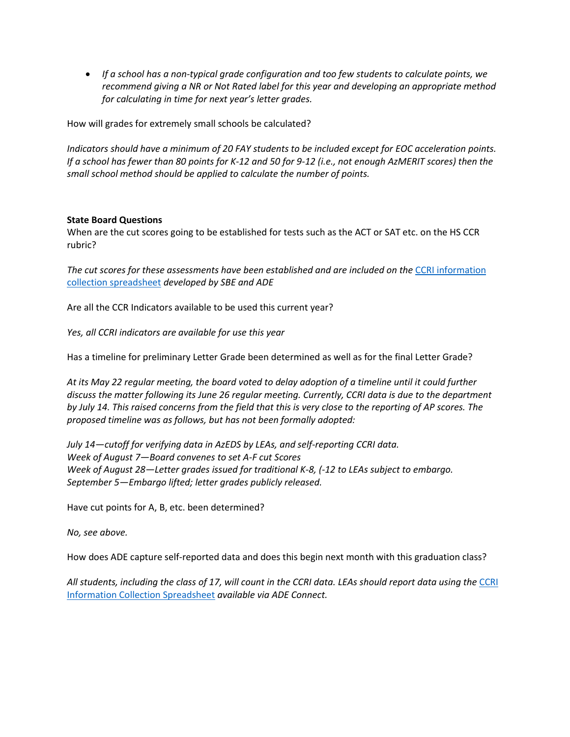• *If a school has a non-typical grade configuration and too few students to calculate points, we recommend giving a NR or Not Rated label for this year and developing an appropriate method for calculating in time for next year's letter grades.*

How will grades for extremely small schools be calculated?

*Indicators should have a minimum of 20 FAY students to be included except for EOC acceleration points. If a school has fewer than 80 points for K-12 and 50 for 9-12 (i.e., not enough AzMERIT scores) then the small school method should be applied to calculate the number of points.*

#### **State Board Questions**

When are the cut scores going to be established for tests such as the ACT or SAT etc. on the HS CCR rubric?

*The cut scores for these assessments have been established and are included on the* [CCRI information](http://www.azed.gov/accountability/2017/05/12/college-and-career-readiness-self-report-spreadsheet-announcement/)  [collection spreadsheet](http://www.azed.gov/accountability/2017/05/12/college-and-career-readiness-self-report-spreadsheet-announcement/) *developed by SBE and ADE*

Are all the CCR Indicators available to be used this current year?

*Yes, all CCRI indicators are available for use this year*

Has a timeline for preliminary Letter Grade been determined as well as for the final Letter Grade?

*At its May 22 regular meeting, the board voted to delay adoption of a timeline until it could further discuss the matter following its June 26 regular meeting. Currently, CCRI data is due to the department by July 14. This raised concerns from the field that this is very close to the reporting of AP scores. The proposed timeline was as follows, but has not been formally adopted:*

*July 14—cutoff for verifying data in AzEDS by LEAs, and self-reporting CCRI data. Week of August 7—Board convenes to set A-F cut Scores Week of August 28—Letter grades issued for traditional K-8, (-12 to LEAs subject to embargo. September 5—Embargo lifted; letter grades publicly released.*

Have cut points for A, B, etc. been determined?

*No, see above.*

How does ADE capture self-reported data and does this begin next month with this graduation class?

All students, including the class of 17, will count in the [CCRI](http://www.azed.gov/accountability/2017/05/12/college-and-career-readiness-self-report-spreadsheet-announcement/) data. LEAs should report data using the CCRI [Information Collection](http://www.azed.gov/accountability/2017/05/12/college-and-career-readiness-self-report-spreadsheet-announcement/) Spreadsheet *available via ADE Connect.*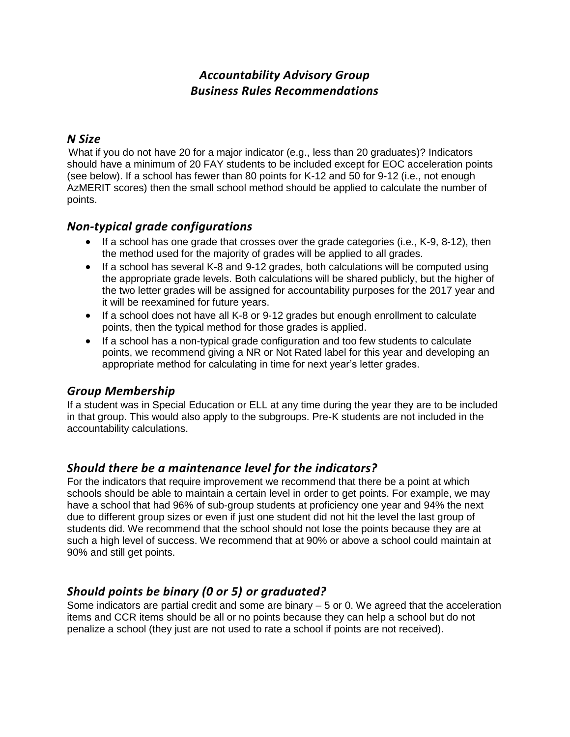# *Accountability Advisory Group Business Rules Recommendations*

### *N Size*

What if you do not have 20 for a major indicator (e.g., less than 20 graduates)? Indicators should have a minimum of 20 FAY students to be included except for EOC acceleration points (see below). If a school has fewer than 80 points for K-12 and 50 for 9-12 (i.e., not enough AzMERIT scores) then the small school method should be applied to calculate the number of points.

## *Non-typical grade configurations*

- $\bullet$  If a school has one grade that crosses over the grade categories (i.e., K-9, 8-12), then the method used for the majority of grades will be applied to all grades.
- If a school has several K-8 and 9-12 grades, both calculations will be computed using the appropriate grade levels. Both calculations will be shared publicly, but the higher of the two letter grades will be assigned for accountability purposes for the 2017 year and it will be reexamined for future years.
- If a school does not have all K-8 or 9-12 grades but enough enrollment to calculate points, then the typical method for those grades is applied.
- If a school has a non-typical grade configuration and too few students to calculate points, we recommend giving a NR or Not Rated label for this year and developing an appropriate method for calculating in time for next year's letter grades.

# *Group Membership*

If a student was in Special Education or ELL at any time during the year they are to be included in that group. This would also apply to the subgroups. Pre-K students are not included in the accountability calculations.

# *Should there be a maintenance level for the indicators?*

For the indicators that require improvement we recommend that there be a point at which schools should be able to maintain a certain level in order to get points. For example, we may have a school that had 96% of sub-group students at proficiency one year and 94% the next due to different group sizes or even if just one student did not hit the level the last group of students did. We recommend that the school should not lose the points because they are at such a high level of success. We recommend that at 90% or above a school could maintain at 90% and still get points.

# *Should points be binary (0 or 5) or graduated?*

Some indicators are partial credit and some are binary – 5 or 0. We agreed that the acceleration items and CCR items should be all or no points because they can help a school but do not penalize a school (they just are not used to rate a school if points are not received).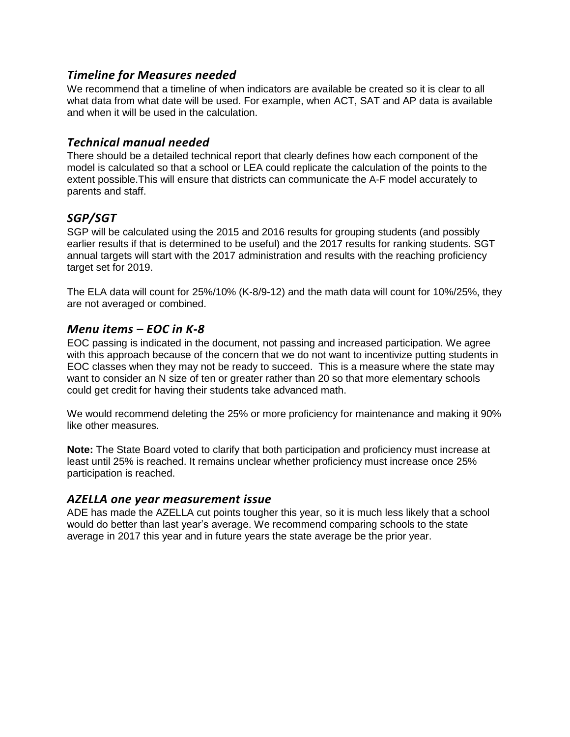### *Timeline for Measures needed*

We recommend that a timeline of when indicators are available be created so it is clear to all what data from what date will be used. For example, when ACT, SAT and AP data is available and when it will be used in the calculation.

### *Technical manual needed*

There should be a detailed technical report that clearly defines how each component of the model is calculated so that a school or LEA could replicate the calculation of the points to the extent possible.This will ensure that districts can communicate the A-F model accurately to parents and staff.

## *SGP/SGT*

SGP will be calculated using the 2015 and 2016 results for grouping students (and possibly earlier results if that is determined to be useful) and the 2017 results for ranking students. SGT annual targets will start with the 2017 administration and results with the reaching proficiency target set for 2019.

The ELA data will count for 25%/10% (K-8/9-12) and the math data will count for 10%/25%, they are not averaged or combined.

### *Menu items – EOC in K-8*

EOC passing is indicated in the document, not passing and increased participation. We agree with this approach because of the concern that we do not want to incentivize putting students in EOC classes when they may not be ready to succeed. This is a measure where the state may want to consider an N size of ten or greater rather than 20 so that more elementary schools could get credit for having their students take advanced math.

We would recommend deleting the 25% or more proficiency for maintenance and making it 90% like other measures.

**Note:** The State Board voted to clarify that both participation and proficiency must increase at least until 25% is reached. It remains unclear whether proficiency must increase once 25% participation is reached.

### *AZELLA one year measurement issue*

ADE has made the AZELLA cut points tougher this year, so it is much less likely that a school would do better than last year's average. We recommend comparing schools to the state average in 2017 this year and in future years the state average be the prior year.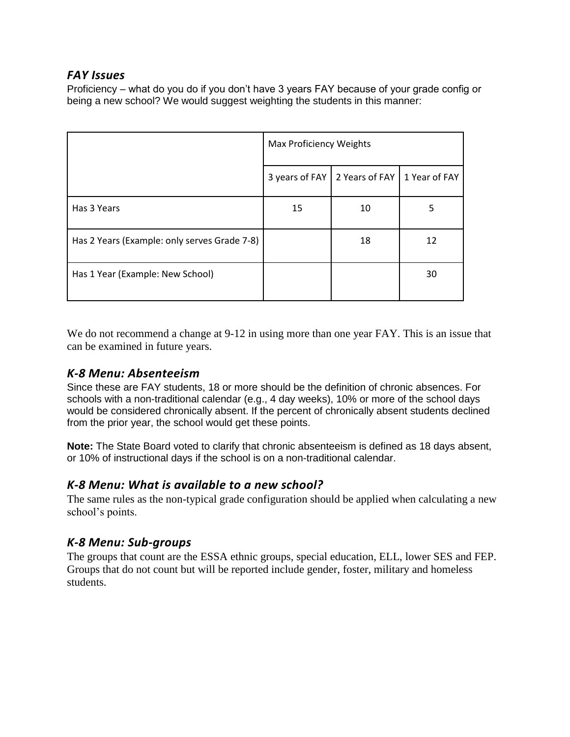## *FAY Issues*

Proficiency – what do you do if you don't have 3 years FAY because of your grade config or being a new school? We would suggest weighting the students in this manner:

|                                              | Max Proficiency Weights |                |               |  |
|----------------------------------------------|-------------------------|----------------|---------------|--|
|                                              | 3 years of FAY          | 2 Years of FAY | 1 Year of FAY |  |
| Has 3 Years                                  | 15                      | 10             | 5             |  |
| Has 2 Years (Example: only serves Grade 7-8) |                         | 18             | 12            |  |
| Has 1 Year (Example: New School)             |                         |                | 30            |  |

We do not recommend a change at 9-12 in using more than one year FAY. This is an issue that can be examined in future years.

# *K-8 Menu: Absenteeism*

Since these are FAY students, 18 or more should be the definition of chronic absences. For schools with a non-traditional calendar (e.g., 4 day weeks), 10% or more of the school days would be considered chronically absent. If the percent of chronically absent students declined from the prior year, the school would get these points.

**Note:** The State Board voted to clarify that chronic absenteeism is defined as 18 days absent, or 10% of instructional days if the school is on a non-traditional calendar.

## *K-8 Menu: What is available to a new school?*

The same rules as the non-typical grade configuration should be applied when calculating a new school's points.

# *K-8 Menu: Sub-groups*

The groups that count are the ESSA ethnic groups, special education, ELL, lower SES and FEP. Groups that do not count but will be reported include gender, foster, military and homeless students.